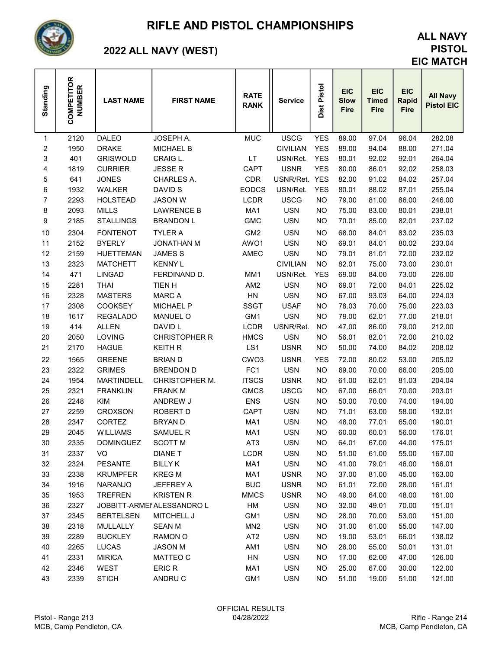

### RIFLE AND PISTOL CHAMPIONSHIPS

# 2022 ALL NAVY (WEST)

### ALL NAVY PISTOL EIC MATCH

| Standing                | <b>COMPETITOR</b><br><b>NUMBER</b> | <b>LAST NAME</b>              | <b>FIRST NAME</b>          | <b>RATE</b><br><b>RANK</b> | <b>Service</b>           | Dist Pistol | <b>EIC</b><br><b>Slow</b><br><b>Fire</b> | <b>EIC</b><br><b>Timed</b><br><b>Fire</b> | <b>EIC</b><br>Rapid<br><b>Fire</b> | <b>All Navy</b><br><b>Pistol EIC</b> |
|-------------------------|------------------------------------|-------------------------------|----------------------------|----------------------------|--------------------------|-------------|------------------------------------------|-------------------------------------------|------------------------------------|--------------------------------------|
| 1                       | 2120                               | <b>DALEO</b>                  | JOSEPH A.                  | <b>MUC</b>                 | <b>USCG</b>              | <b>YES</b>  | 89.00                                    | 97.04                                     | 96.04                              | 282.08                               |
| $\overline{\mathbf{c}}$ | 1950                               | <b>DRAKE</b>                  | <b>MICHAEL B</b>           |                            | <b>CIVILIAN</b>          | <b>YES</b>  | 89.00                                    | 94.04                                     | 88.00                              | 271.04                               |
| 3                       | 401                                | <b>GRISWOLD</b>               | CRAIG L.                   | LT                         | USN/Ret.                 | <b>YES</b>  | 80.01                                    | 92.02                                     | 92.01                              | 264.04                               |
| 4                       | 1819                               | <b>CURRIER</b>                | <b>JESSER</b>              | CAPT                       | <b>USNR</b>              | <b>YES</b>  | 80.00                                    | 86.01                                     | 92.02                              | 258.03                               |
| 5                       | 641                                | <b>JONES</b>                  | CHARLES A.                 | <b>CDR</b>                 | USNR/Ret.                | <b>YES</b>  | 82.00                                    | 91.02                                     | 84.02                              | 257.04                               |
| 6                       | 1932                               | <b>WALKER</b>                 | DAVID S                    | <b>EODCS</b>               | USN/Ret.                 | <b>YES</b>  | 80.01                                    | 88.02                                     | 87.01                              | 255.04                               |
| $\overline{7}$          | 2293                               | <b>HOLSTEAD</b>               | <b>JASON W</b>             | <b>LCDR</b>                | <b>USCG</b>              | <b>NO</b>   | 79.00                                    | 81.00                                     | 86.00                              | 246.00                               |
| 8                       | 2093                               | <b>MILLS</b>                  | <b>LAWRENCE B</b>          | MA1                        | <b>USN</b>               | <b>NO</b>   | 75.00                                    | 83.00                                     | 80.01                              | 238.01                               |
| 9                       | 2185                               | <b>STALLINGS</b>              | <b>BRANDON L</b>           | <b>GMC</b>                 | <b>USN</b>               | <b>NO</b>   | 70.01                                    | 85.00                                     | 82.01                              | 237.02                               |
| 10                      | 2304                               | <b>FONTENOT</b>               | <b>TYLER A</b>             | GM <sub>2</sub>            | <b>USN</b>               | <b>NO</b>   | 68.00                                    | 84.01                                     | 83.02                              | 235.03                               |
| 11                      | 2152                               | <b>BYERLY</b>                 | <b>JONATHAN M</b>          | AWO1                       | <b>USN</b>               | <b>NO</b>   | 69.01                                    | 84.01                                     | 80.02                              | 233.04                               |
| 12                      | 2159                               | <b>HUETTEMAN</b>              | <b>JAMES S</b>             | AMEC                       | <b>USN</b>               | <b>NO</b>   | 79.01                                    | 81.01                                     | 72.00                              | 232.02                               |
| 13                      | 2323                               | <b>MATCHETT</b>               | <b>KENNY L</b>             |                            | <b>CIVILIAN</b>          | <b>NO</b>   | 82.01                                    | 75.00                                     | 73.00                              | 230.01                               |
| 14                      | 471                                | <b>LINGAD</b>                 | FERDINAND D.               | MM1                        | USN/Ret.                 | <b>YES</b>  | 69.00                                    | 84.00                                     | 73.00                              | 226.00                               |
| 15                      | 2281                               | <b>THAI</b>                   | <b>TIEN H</b>              | AM <sub>2</sub>            | <b>USN</b>               | <b>NO</b>   | 69.01                                    | 72.00                                     | 84.01                              | 225.02                               |
| 16                      | 2328                               | <b>MASTERS</b>                | <b>MARCA</b>               | ${\sf H}{\sf N}$           | <b>USN</b>               | <b>NO</b>   | 67.00                                    | 93.03                                     | 64.00                              | 224.03                               |
| 17                      | 2308                               | COOKSEY                       | <b>MICHAEL P</b>           | <b>SSGT</b>                | <b>USAF</b>              | <b>NO</b>   | 78.03                                    | 70.00                                     | 75.00                              | 223.03                               |
| 18                      | 1617                               | <b>REGALADO</b>               | <b>MANUEL O</b>            | GM1                        | <b>USN</b>               | <b>NO</b>   | 79.00                                    | 62.01                                     | 77.00                              | 218.01                               |
| 19                      | 414                                | <b>ALLEN</b>                  | DAVID L                    | <b>LCDR</b>                | USNR/Ret.                | <b>NO</b>   | 47.00                                    | 86.00                                     | 79.00                              | 212.00                               |
| 20                      | 2050                               | <b>LOVING</b>                 | <b>CHRISTOPHER R</b>       | <b>HMCS</b>                | <b>USN</b>               | <b>NO</b>   | 56.01                                    | 82.01                                     | 72.00                              | 210.02                               |
| 21                      | 2170                               | <b>HAGUE</b>                  | <b>KEITH R</b>             | LS1                        | <b>USNR</b>              | <b>NO</b>   | 50.00                                    | 74.00                                     | 84.02                              | 208.02                               |
| 22                      | 1565                               | <b>GREENE</b>                 | <b>BRIAN D</b>             | CWO <sub>3</sub>           | <b>USNR</b>              | <b>YES</b>  | 72.00                                    | 80.02                                     | 53.00                              | 205.02                               |
| 23                      | 2322                               | <b>GRIMES</b>                 | <b>BRENDON D</b>           | FC <sub>1</sub>            | <b>USN</b>               | <b>NO</b>   | 69.00                                    | 70.00                                     | 66.00                              | 205.00                               |
| 24                      | 1954                               | <b>MARTINDELL</b>             | CHRISTOPHER M.             | <b>ITSCS</b>               | <b>USNR</b>              | <b>NO</b>   | 61.00                                    | 62.01                                     | 81.03                              | 204.04                               |
| 25                      | 2321                               | <b>FRANKLIN</b>               | <b>FRANK M</b>             | <b>GMCS</b>                | <b>USCG</b>              | <b>NO</b>   | 67.00                                    | 66.01                                     | 70.00                              | 203.01                               |
| 26                      | 2248                               | <b>KIM</b>                    | ANDREW J                   | <b>ENS</b>                 | <b>USN</b>               | <b>NO</b>   | 50.00                                    | 70.00                                     | 74.00                              | 194.00                               |
| 27                      | 2259                               | <b>CROXSON</b>                | ROBERT D                   | <b>CAPT</b>                | <b>USN</b>               | <b>NO</b>   | 71.01                                    | 63.00                                     | 58.00                              | 192.01                               |
| 28                      | 2347                               | <b>CORTEZ</b>                 | <b>BRYAND</b>              | MA1                        | <b>USN</b>               | <b>NO</b>   | 48.00                                    | 77.01                                     | 65.00                              | 190.01                               |
| 29                      | 2045                               | <b>WILLIAMS</b>               | SAMUEL R                   | MA1                        | <b>USN</b>               | <b>NO</b>   | 60.00                                    | 60.01                                     | 56.00                              | 176.01                               |
| 30                      | 2335                               | <b>DOMINGUEZ</b>              | <b>SCOTT M</b>             | AT <sub>3</sub>            | <b>USN</b>               | NO          | 64.01                                    | 67.00                                     | 44.00                              | 175.01                               |
| 31                      | 2337                               | VO                            | <b>DIANE T</b>             | LCDR                       | <b>USN</b>               | <b>NO</b>   | 51.00                                    | 61.00                                     | 55.00                              | 167.00                               |
| 32                      | 2324                               | <b>PESANTE</b>                | <b>BILLY K</b>             | MA1                        | <b>USN</b>               | <b>NO</b>   | 41.00                                    | 79.01                                     | 46.00                              | 166.01                               |
| 33                      | 2338                               | <b>KRUMPFER</b>               | <b>KREG M</b>              | MA1                        | <b>USNR</b>              | NO.         | 37.00                                    | 81.00                                     | 45.00                              | 163.00                               |
| 34                      | 1916                               | NARANJO                       | <b>JEFFREY A</b>           | <b>BUC</b>                 | <b>USNR</b>              | NO.         | 61.01                                    | 72.00                                     | 28.00                              | 161.01                               |
| 35                      | 1953                               | <b>TREFREN</b>                | <b>KRISTEN R</b>           | <b>MMCS</b>                | <b>USNR</b>              | <b>NO</b>   | 49.00                                    | 64.00                                     | 48.00                              | 161.00                               |
| 36                      | 2327                               |                               | JOBBITT-ARMEI ALESSANDRO L | HM                         | <b>USN</b>               | NO          | 32.00                                    | 49.01                                     | 70.00                              | 151.01                               |
| 37                      | 2345                               | <b>BERTELSEN</b>              | MITCHELL J                 | GM1                        | <b>USN</b>               | NO          | 28.00                                    | 70.00                                     | 53.00                              | 151.00                               |
| 38                      | 2318                               | MULLALLY                      | <b>SEAN M</b>              | MN <sub>2</sub>            | <b>USN</b>               | NO          | 31.00                                    | 61.00                                     | 55.00                              | 147.00                               |
| 39<br>40                | 2289<br>2265                       | <b>BUCKLEY</b>                | RAMON O                    | AT <sub>2</sub><br>AM1     | <b>USN</b><br><b>USN</b> | NO          | 19.00<br>26.00                           | 53.01<br>55.00                            | 66.01                              | 138.02                               |
| 41                      | 2331                               | <b>LUCAS</b><br><b>MIRICA</b> | <b>JASON M</b><br>MATTEO C | HN                         | <b>USN</b>               | NO.<br>NO   | 17.00                                    | 62.00                                     | 50.01<br>47.00                     | 131.01<br>126.00                     |
| 42                      | 2346                               | WEST                          | ERIC R                     | MA1                        | <b>USN</b>               | NO          | 25.00                                    | 67.00                                     | 30.00                              | 122.00                               |
| 43                      | 2339                               | <b>STICH</b>                  | ANDRU C                    | GM1                        | <b>USN</b>               | NO.         | 51.00                                    | 19.00                                     | 51.00                              | 121.00                               |
|                         |                                    |                               |                            |                            |                          |             |                                          |                                           |                                    |                                      |